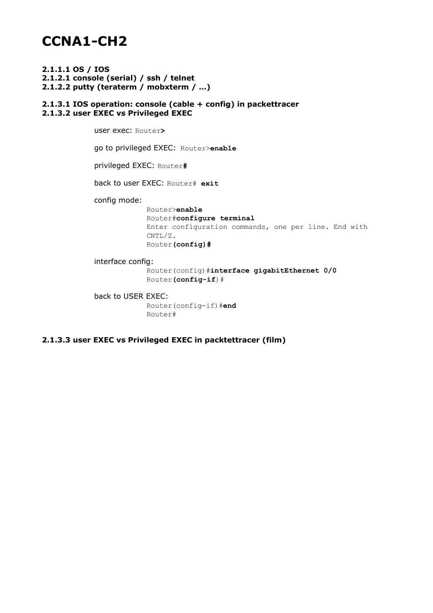# **CCNA1-CH2**

**2.1.1.1 OS / IOS 2.1.2.1 console (serial) / ssh / telnet 2.1.2.2 putty (teraterm / mobxterm / …)**

### **2.1.3.1 IOS operation: console (cable + config) in packettracer 2.1.3.2 user EXEC vs Privileged EXEC**

user exec: Router**>** go to privileged EXEC: Router>**enable** privileged EXEC: Router**#** back to user EXEC: Router# **exit** config mode: Router>**enable** Router#**configure terminal** Enter configuration commands, one per line. End with CNTL/Z. Router**(config)#** interface config:

Router(config)#**interface gigabitEthernet 0/0** Router**(config-if**)#

back to USER EXEC: Router(config-if)#**end** Router#

**2.1.3.3 user EXEC vs Privileged EXEC in packtettracer (film)**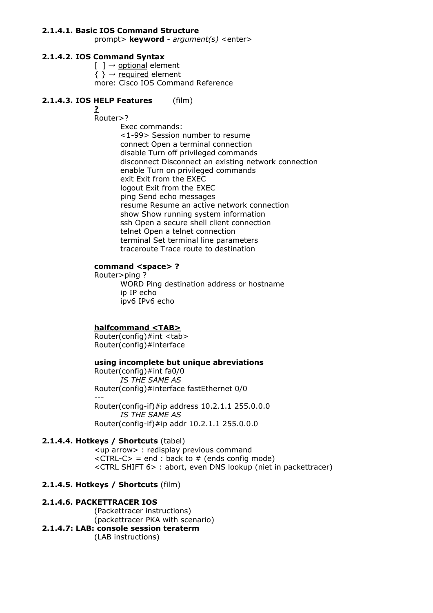### **2.1.4.1. Basic IOS Command Structure**

prompt> **keyword** - *argument(s)* <enter>

## **2.1.4.2. IOS Command Syntax**

 $[ ] \rightarrow$  optional element  $\{ \} \rightarrow$  required element more: Cisco IOS Command Reference

## **2.1.4.3. IOS HELP Features** (film)

#### **?** Router>?

Exec commands: <1-99> Session number to resume connect Open a terminal connection disable Turn off privileged commands disconnect Disconnect an existing network connection enable Turn on privileged commands exit Exit from the EXEC logout Exit from the EXEC ping Send echo messages resume Resume an active network connection show Show running system information ssh Open a secure shell client connection telnet Open a telnet connection terminal Set terminal line parameters traceroute Trace route to destination

## **command <space> ?**

Router>ping ? WORD Ping destination address or hostname ip IP echo ipv6 IPv6 echo

## **halfcommand <TAB>**

Router(config)#int <tab> Router(config)#interface

### **using incomplete but unique abreviations**

Router(config)#int fa0/0 *IS THE SAME AS* Router(config)#interface fastEthernet 0/0 --- Router(config-if)#ip address 10.2.1.1 255.0.0.0 *IS THE SAME AS* Router(config-if)#ip addr 10.2.1.1 255.0.0.0

### **2.1.4.4. Hotkeys / Shortcuts** (tabel)

<up arrow> : redisplay previous command  $\langle \text{CTRL-C> = end} : \text{back to } # \text{ (ends config mode)} \rangle$ <CTRL SHIFT 6> : abort, even DNS lookup (niet in packettracer)

### **2.1.4.5. Hotkeys / Shortcuts** (film)

### **2.1.4.6. PACKETTRACER IOS**

(Packettracer instructions) (packettracer PKA with scenario) **2.1.4.7: LAB: console session teraterm** (LAB instructions)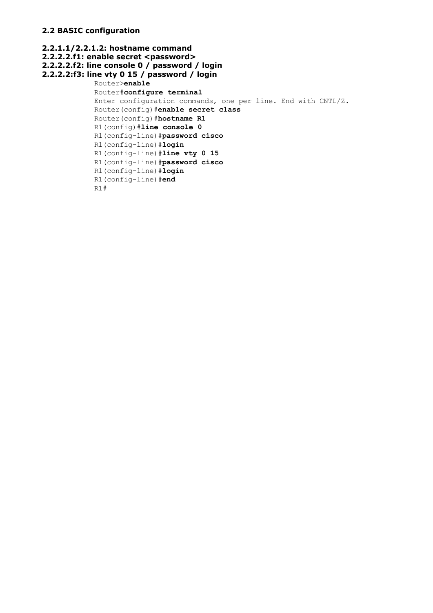## **2.2 BASIC configuration**

```
2.2.1.1/2.2.1.2: hostname command
2.2.2.2.f1: enable secret <password>
2.2.2.2.f2: line console 0 / password / login
2.2.2.2:f3: line vty 0 15 / password / login
           Router>enable
           Router#configure terminal
           Enter configuration commands, one per line. End with CNTL/Z.
            Router(config)#enable secret class
            Router(config)#hostname R1
            R1(config)#line console 0
            R1(config-line)#password cisco
            R1(config-line)#login
            R1(config-line)#line vty 0 15
            R1(config-line)#password cisco
            R1(config-line)#login
            R1(config-line)#end
            R1#
```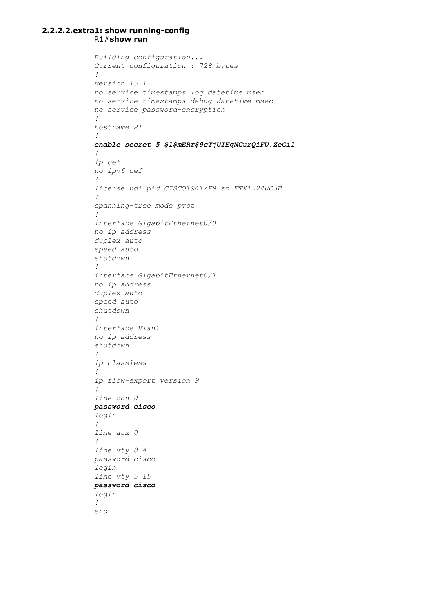#### **2.2.2.2.extra1: show running-config** R1#**show run**

```
Building configuration...
Current configuration : 728 bytes
!
version 15.1
no service timestamps log datetime msec
no service timestamps debug datetime msec
no service password-encryption
!
hostname R1
!
enable secret 5 $1$mERr$9cTjUIEqNGurQiFU.ZeCi1
!
ip cef
no ipv6 cef
!
license udi pid CISCO1941/K9 sn FTX15240C3E
!
spanning-tree mode pvst
!
interface GigabitEthernet0/0
no ip address
duplex auto
speed auto
shutdown
!
interface GigabitEthernet0/1
no ip address
duplex auto
speed auto
shutdown
!
interface Vlan1
no ip address
shutdown
!
ip classless
!
ip flow-export version 9
!
line con 0
password cisco
login
!
line aux 0
!
line vty 0 4
password cisco
login
line vty 5 15
password cisco
login
!
end
```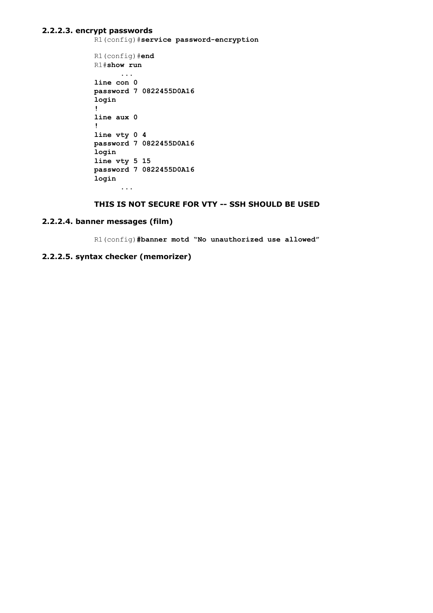#### **2.2.2.3. encrypt passwords**

R1(config)#**service password-encryptionser**

```
R1(config)#end
R1#show run
      ...
line con 0
password 7 0822455D0A16
login
!
line aux 0
!
line vty 0 4
password 7 0822455D0A16
login
line vty 5 15
password 7 0822455D0A16
login
      ...
```
## **THIS IS NOT SECURE FOR VTY -- SSH SHOULD BE USED**

#### **2.2.2.4. banner messages (film)**

R1(config)**#banner motd "No unauthorized use allowed"**

## **2.2.2.5. syntax checker (memorizer)**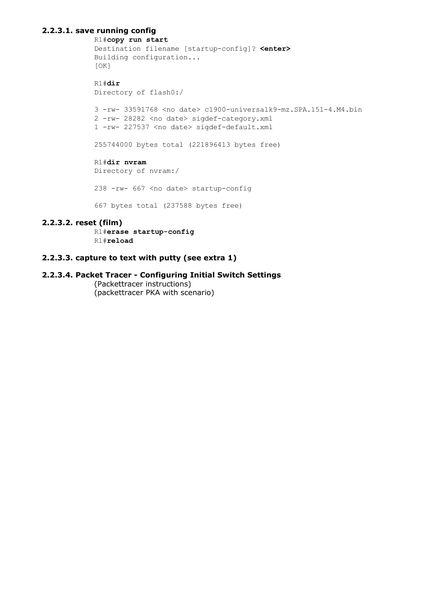## **2.2.3.1. save running config**

```
R1#copy run start
Destination filename [startup-config]? <enter>
Building configuration...
[OK]
R1#dir
Directory of flash0:/
3 -rw- 33591768 <no date> c1900-universalk9-mz.SPA.151-4.M4.bin
2 -rw- 28282 <no date> sigdef-category.xml
1 -rw- 227537 <no date> sigdef-default.xml
255744000 bytes total (221896413 bytes free)
R1#dir nvram
Directory of nvram:/
238 -rw- 667 <no date> startup-config
667 bytes total (237588 bytes free)
```
## **2.2.3.2. reset (film)**

R1#**erase startup-config** R1#**reload**

## **2.2.3.3. capture to text with putty (see extra 1)**

## **2.2.3.4. Packet Tracer - Configuring Initial Switch Settings**

(Packettracer instructions) (packettracer PKA with scenario)